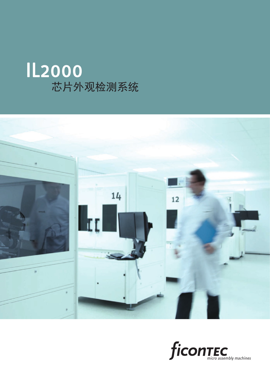



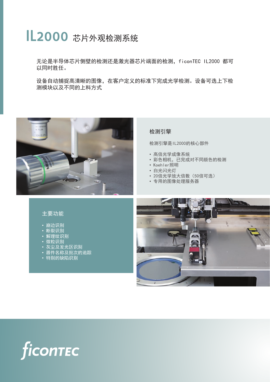# IL2000 芯片外观检测系统

无论是半导体芯片侧壁的检测还是激光器芯片端面的检测,ficonTEC IL2000 都可 以同时胜任。

设备自动捕捉高清晰的图像,在客户定义的标准下完成光学检测。设备可选上下检 测模块以及不同的上料方式



# 主要功能

- 崩边识别
- 断裂识别
- 解理纹识别
- 微粒识别
- 灰尘及发光区识别
- 器件名称及批次的追踪
- <u>• 特别</u>的缺陷识别

## 检测引擎

检测引擎是IL2000的核心部件

- 高倍光学成像系统
- 彩色相机,已完成对不同颜色的检测
- Koehler照明
- 白光闪光灯
- 20倍光学放大倍数(50倍可选)
- 专用的图像处理服务器



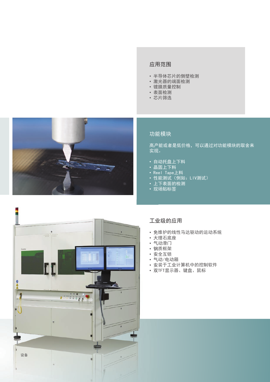# 应用范围

- 半导体芯片的侧壁检测
- 激光器的端面检测
- 镀膜质量控制
- 表面检测
- 芯片筛选



# 功能模块

高产能或者是低价格,可以通过对功能模块的取舍来 实现。

- 自动托盘上下料
- —<br>|• 晶圆上下<u>料</u>
- Reel Tape上料
- 性能测试(例如: LIV测试)
- 上下表面的检测
- 现场贴标签



### 工业级的应用

- 免维护的线性马达驱动的运动系统
- 大理石底座
- 气动滑门
- 钢质框架
- 安全互锁
- 气动/电动箱
- 安装于工业计算机中的控制软件
- 双TFT显示器、键盘、鼠标